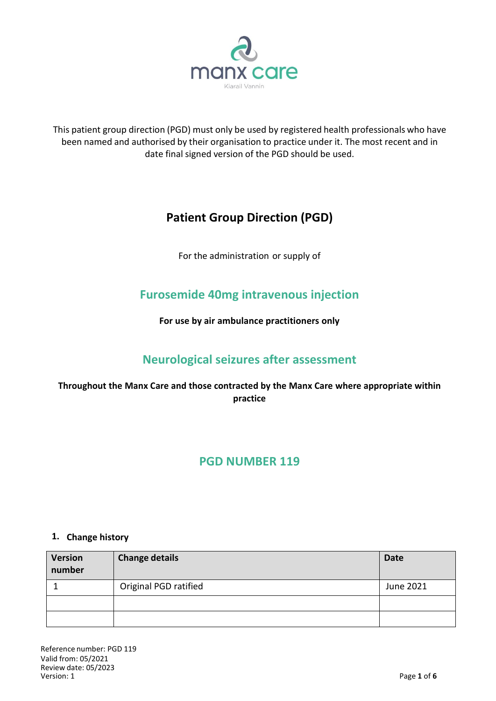

This patient group direction (PGD) must only be used by registered health professionals who have been named and authorised by their organisation to practice under it. The most recent and in date final signed version of the PGD should be used.

# **Patient Group Direction (PGD)**

For the administration or supply of

# **Furosemide 40mg intravenous injection**

**For use by air ambulance practitioners only**

# **Neurological seizures after assessment**

## **Throughout the Manx Care and those contracted by the Manx Care where appropriate within practice**

## **PGD NUMBER 119**

#### **1. Change history**

| <b>Version</b><br>number | <b>Change details</b> | <b>Date</b> |
|--------------------------|-----------------------|-------------|
|                          | Original PGD ratified | June 2021   |
|                          |                       |             |
|                          |                       |             |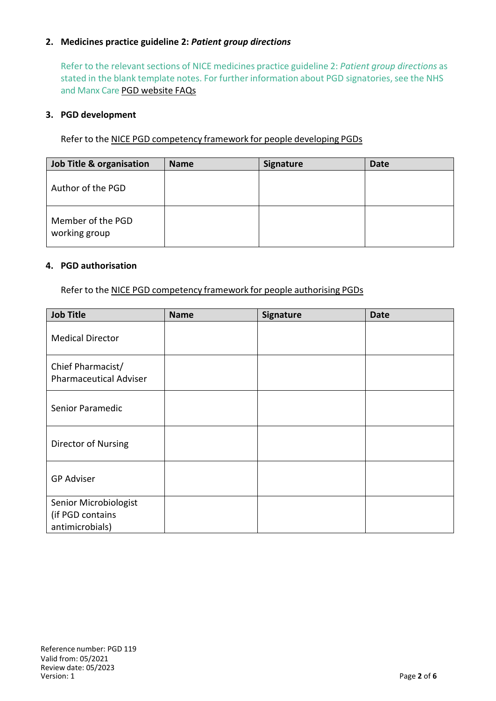#### **2. Medicines practice guideline 2:** *Patient group directions*

Refer to the relevant sections of NICE medicines practice guideline 2: *Patient group directions* as stated in the blank template notes. For further information about PGD signatories, see the NHS and Manx Care PGD website FAQs

#### **3. PGD development**

Refer to the NICE PGD competency framework for people developing PGDs

| Job Title & organisation           | <b>Name</b> | Signature | Date |
|------------------------------------|-------------|-----------|------|
| Author of the PGD                  |             |           |      |
| Member of the PGD<br>working group |             |           |      |

#### **4. PGD authorisation**

Refer to the NICE PGD competency framework for people authorising PGDs

| <b>Job Title</b>                                             | <b>Name</b> | Signature | <b>Date</b> |
|--------------------------------------------------------------|-------------|-----------|-------------|
| <b>Medical Director</b>                                      |             |           |             |
| Chief Pharmacist/<br><b>Pharmaceutical Adviser</b>           |             |           |             |
| Senior Paramedic                                             |             |           |             |
| Director of Nursing                                          |             |           |             |
| <b>GP Adviser</b>                                            |             |           |             |
| Senior Microbiologist<br>(if PGD contains<br>antimicrobials) |             |           |             |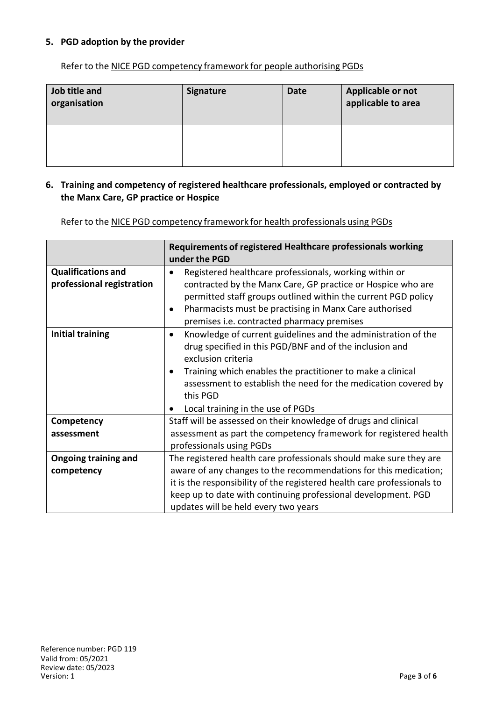#### **5. PGD adoption by the provider**

Refer to the NICE PGD competency framework for people authorising PGDs

| Job title and<br>organisation | <b>Signature</b> | <b>Date</b> | Applicable or not<br>applicable to area |
|-------------------------------|------------------|-------------|-----------------------------------------|
|                               |                  |             |                                         |

#### **6. Training and competency of registered healthcare professionals, employed or contracted by the Manx Care, GP practice or Hospice**

Refer to the NICE PGD competency framework for health professionals using PGDs

|                                                        | Requirements of registered Healthcare professionals working<br>under the PGD                                                                                                                                                                                                                                                                 |  |
|--------------------------------------------------------|----------------------------------------------------------------------------------------------------------------------------------------------------------------------------------------------------------------------------------------------------------------------------------------------------------------------------------------------|--|
| <b>Qualifications and</b><br>professional registration | Registered healthcare professionals, working within or<br>contracted by the Manx Care, GP practice or Hospice who are<br>permitted staff groups outlined within the current PGD policy<br>Pharmacists must be practising in Manx Care authorised<br>premises i.e. contracted pharmacy premises                                               |  |
| <b>Initial training</b>                                | Knowledge of current guidelines and the administration of the<br>$\bullet$<br>drug specified in this PGD/BNF and of the inclusion and<br>exclusion criteria<br>Training which enables the practitioner to make a clinical<br>assessment to establish the need for the medication covered by<br>this PGD<br>Local training in the use of PGDs |  |
| Competency                                             | Staff will be assessed on their knowledge of drugs and clinical                                                                                                                                                                                                                                                                              |  |
| assessment                                             | assessment as part the competency framework for registered health<br>professionals using PGDs                                                                                                                                                                                                                                                |  |
| <b>Ongoing training and</b>                            | The registered health care professionals should make sure they are                                                                                                                                                                                                                                                                           |  |
| competency                                             | aware of any changes to the recommendations for this medication;                                                                                                                                                                                                                                                                             |  |
|                                                        | it is the responsibility of the registered health care professionals to                                                                                                                                                                                                                                                                      |  |
|                                                        | keep up to date with continuing professional development. PGD                                                                                                                                                                                                                                                                                |  |
|                                                        | updates will be held every two years                                                                                                                                                                                                                                                                                                         |  |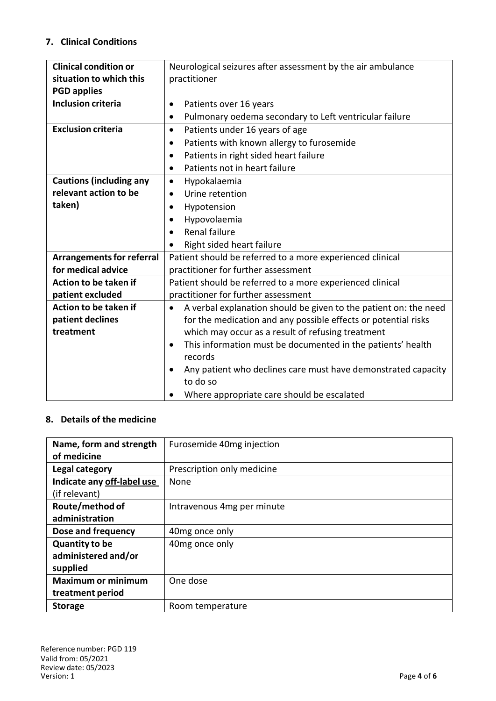## **7. Clinical Conditions**

| <b>Clinical condition or</b>     | Neurological seizures after assessment by the air ambulance                   |  |  |
|----------------------------------|-------------------------------------------------------------------------------|--|--|
| situation to which this          | practitioner                                                                  |  |  |
| <b>PGD applies</b>               |                                                                               |  |  |
| <b>Inclusion criteria</b>        | Patients over 16 years<br>$\bullet$                                           |  |  |
|                                  | Pulmonary oedema secondary to Left ventricular failure<br>$\bullet$           |  |  |
| <b>Exclusion criteria</b>        | Patients under 16 years of age<br>$\bullet$                                   |  |  |
|                                  | Patients with known allergy to furosemide<br>$\bullet$                        |  |  |
|                                  | Patients in right sided heart failure                                         |  |  |
|                                  | Patients not in heart failure<br>$\bullet$                                    |  |  |
| <b>Cautions (including any</b>   | Hypokalaemia<br>$\bullet$                                                     |  |  |
| relevant action to be            | Urine retention<br>$\bullet$                                                  |  |  |
| taken)                           | Hypotension<br>$\bullet$                                                      |  |  |
|                                  | Hypovolaemia                                                                  |  |  |
|                                  | Renal failure<br>$\bullet$                                                    |  |  |
|                                  | Right sided heart failure<br>$\bullet$                                        |  |  |
| <b>Arrangements for referral</b> | Patient should be referred to a more experienced clinical                     |  |  |
| for medical advice               | practitioner for further assessment                                           |  |  |
| Action to be taken if            | Patient should be referred to a more experienced clinical                     |  |  |
| patient excluded                 | practitioner for further assessment                                           |  |  |
| Action to be taken if            | A verbal explanation should be given to the patient on: the need<br>$\bullet$ |  |  |
| patient declines                 | for the medication and any possible effects or potential risks                |  |  |
| treatment                        | which may occur as a result of refusing treatment                             |  |  |
|                                  | This information must be documented in the patients' health<br>$\bullet$      |  |  |
|                                  | records                                                                       |  |  |
|                                  | Any patient who declines care must have demonstrated capacity                 |  |  |
|                                  | to do so                                                                      |  |  |
|                                  | Where appropriate care should be escalated                                    |  |  |

### **8. Details of the medicine**

| Name, form and strength<br>of medicine | Furosemide 40mg injection  |
|----------------------------------------|----------------------------|
| Legal category                         | Prescription only medicine |
| Indicate any off-label use             | None                       |
| (if relevant)                          |                            |
| Route/method of                        | Intravenous 4mg per minute |
| administration                         |                            |
| Dose and frequency                     | 40mg once only             |
| <b>Quantity to be</b>                  | 40 <sub>mg</sub> once only |
| administered and/or                    |                            |
| supplied                               |                            |
| <b>Maximum or minimum</b>              | One dose                   |
| treatment period                       |                            |
| <b>Storage</b>                         | Room temperature           |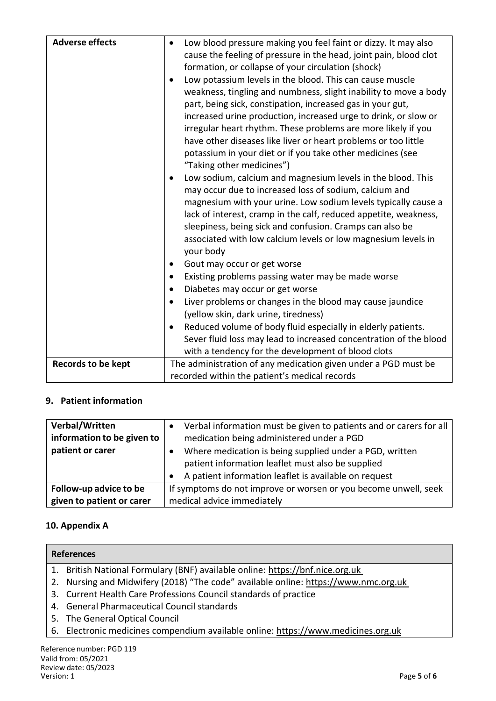| <b>Adverse effects</b>    | Low blood pressure making you feel faint or dizzy. It may also<br>cause the feeling of pressure in the head, joint pain, blood clot<br>formation, or collapse of your circulation (shock)<br>Low potassium levels in the blood. This can cause muscle<br>weakness, tingling and numbness, slight inability to move a body<br>part, being sick, constipation, increased gas in your gut,<br>increased urine production, increased urge to drink, or slow or<br>irregular heart rhythm. These problems are more likely if you<br>have other diseases like liver or heart problems or too little<br>potassium in your diet or if you take other medicines (see<br>"Taking other medicines")<br>Low sodium, calcium and magnesium levels in the blood. This<br>may occur due to increased loss of sodium, calcium and<br>magnesium with your urine. Low sodium levels typically cause a<br>lack of interest, cramp in the calf, reduced appetite, weakness,<br>sleepiness, being sick and confusion. Cramps can also be<br>associated with low calcium levels or low magnesium levels in<br>your body<br>Gout may occur or get worse<br>Existing problems passing water may be made worse<br>Diabetes may occur or get worse<br>Liver problems or changes in the blood may cause jaundice<br>$\bullet$<br>(yellow skin, dark urine, tiredness) |
|---------------------------|--------------------------------------------------------------------------------------------------------------------------------------------------------------------------------------------------------------------------------------------------------------------------------------------------------------------------------------------------------------------------------------------------------------------------------------------------------------------------------------------------------------------------------------------------------------------------------------------------------------------------------------------------------------------------------------------------------------------------------------------------------------------------------------------------------------------------------------------------------------------------------------------------------------------------------------------------------------------------------------------------------------------------------------------------------------------------------------------------------------------------------------------------------------------------------------------------------------------------------------------------------------------------------------------------------------------------------------------|
|                           |                                                                                                                                                                                                                                                                                                                                                                                                                                                                                                                                                                                                                                                                                                                                                                                                                                                                                                                                                                                                                                                                                                                                                                                                                                                                                                                                            |
|                           | Reduced volume of body fluid especially in elderly patients.<br>Sever fluid loss may lead to increased concentration of the blood<br>with a tendency for the development of blood clots                                                                                                                                                                                                                                                                                                                                                                                                                                                                                                                                                                                                                                                                                                                                                                                                                                                                                                                                                                                                                                                                                                                                                    |
| <b>Records to be kept</b> | The administration of any medication given under a PGD must be<br>recorded within the patient's medical records                                                                                                                                                                                                                                                                                                                                                                                                                                                                                                                                                                                                                                                                                                                                                                                                                                                                                                                                                                                                                                                                                                                                                                                                                            |

## **9. Patient information**

| Verbal/Written<br>information to be given to<br>patient or carer | Verbal information must be given to patients and or carers for all<br>medication being administered under a PGD<br>Where medication is being supplied under a PGD, written<br>patient information leaflet must also be supplied |
|------------------------------------------------------------------|---------------------------------------------------------------------------------------------------------------------------------------------------------------------------------------------------------------------------------|
|                                                                  | A patient information leaflet is available on request                                                                                                                                                                           |
| Follow-up advice to be                                           | If symptoms do not improve or worsen or you become unwell, seek                                                                                                                                                                 |
| given to patient or carer                                        | medical advice immediately                                                                                                                                                                                                      |

## **10. Appendix A**

| <b>References</b>                                                                   |  |  |
|-------------------------------------------------------------------------------------|--|--|
| 1. British National Formulary (BNF) available online: https://bnf.nice.org.uk       |  |  |
| 2. Nursing and Midwifery (2018) "The code" available online: https://www.nmc.org.uk |  |  |
| 3. Current Health Care Professions Council standards of practice                    |  |  |
| 4. General Pharmaceutical Council standards                                         |  |  |
| 5. The General Optical Council                                                      |  |  |
| 6. Electronic medicines compendium available online: https://www.medicines.org.uk   |  |  |